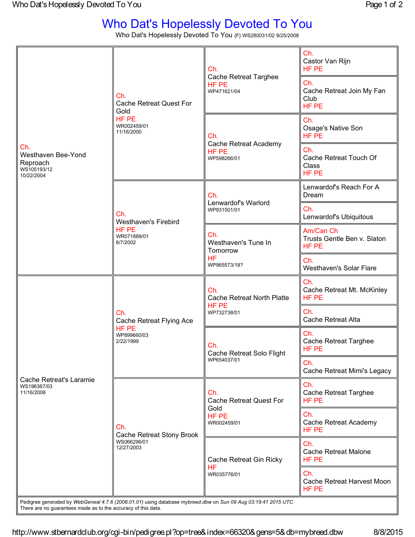## Who Dat's Hopelessly Devoted To You

Who Dat's Hopelessly Devoted To You {F} WS280031/02 9/25/2008

| Ch.<br>Westhaven Bee-Yond<br>Reproach<br>WS105193/12<br>10/22/2004 | Ch.<br><b>Cache Retreat Quest For</b><br>Gold<br>HF PE<br>WR002459/01<br>11/16/2000 | Ch.<br>Cache Retreat Targhee<br>HF PE<br>WP471621/04                  | Ch.<br>Castor Van Rijn<br>HF PE                   |
|--------------------------------------------------------------------|-------------------------------------------------------------------------------------|-----------------------------------------------------------------------|---------------------------------------------------|
|                                                                    |                                                                                     |                                                                       | Ch.<br>Cache Retreat Join My Fan<br>Club<br>HF PE |
|                                                                    |                                                                                     | Ch.<br>Cache Retreat Academy<br>HF PE<br>WP598266/01                  | Ch.<br>Osage's Native Son<br>HF PE                |
|                                                                    |                                                                                     |                                                                       | Ch.<br>Cache Retreat Touch Of<br>Class<br>HF PE   |
|                                                                    | Ch.<br><b>Westhaven's Firebird</b><br>HF PE<br>WR071889/01<br>8/7/2002              | Ch.<br>Lenwardof's Warlord<br>WP931501/01                             | Lenwardof's Reach For A<br>Dream                  |
|                                                                    |                                                                                     |                                                                       | Ch.<br>Lenwardof's Ubiquitous                     |
|                                                                    |                                                                                     | Ch.<br>Westhaven's Tune In<br>Tomorrow<br><b>HF</b><br>WP965573/18?   | Am/Can Ch<br>Trusts Gentle Ben v. Slaton<br>HF PE |
|                                                                    |                                                                                     |                                                                       | Ch.<br>Westhaven's Solar Flare                    |
| Cache Retreat's Laramie<br>WS196367/03<br>11/16/2006               | Ch.<br>Cache Retreat Flying Ace<br>HF PE<br>WP899660/03<br>2/22/1999                | Ch.<br><b>Cache Retreat North Platte</b><br>HF PE<br>WP732738/01      | Ch.<br>Cache Retreat Mt. McKinley<br>HF PE        |
|                                                                    |                                                                                     |                                                                       | Ch.<br><b>Cache Retreat Alta</b>                  |
|                                                                    |                                                                                     | Ch.<br>Cache Retreat Solo Flight<br>WP654037/01                       | Ch.<br><b>Cache Retreat Targhee</b><br>HF PE      |
|                                                                    |                                                                                     |                                                                       | Ch.<br>Cache Retreat Mimi's Legacy                |
|                                                                    | Ch.<br>Cache Retreat Stony Brook<br>WS066296/01<br>12/27/2003                       | Ch.<br><b>Cache Retreat Quest For</b><br>Gold<br>HF PE<br>WR002459/01 | Ch.<br><b>Cache Retreat Targhee</b><br>HF PE      |
|                                                                    |                                                                                     |                                                                       | Ch.<br>Cache Retreat Academy<br>HF PE             |
|                                                                    |                                                                                     | Cache Retreat Gin Ricky<br><b>HF</b><br>WR035776/01                   | Ch.<br><b>Cache Retreat Malone</b><br>HF PE       |
|                                                                    |                                                                                     |                                                                       | Ch.<br>Cache Retreat Harvest Moon<br>HF PE        |